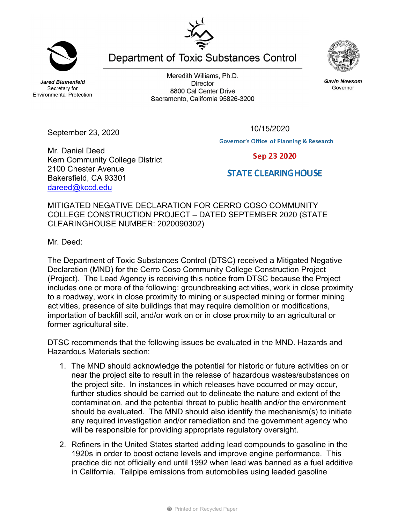**Jared Blumenfeld** Secretary for **Environmental Protection** 

September 23, 2020

Meredith Williams, Ph.D. **Director** 8800 Cal Center Drive Sacramento, California 95826-3200



**Governor's Office of Planning & Research** 

Sep 23 2020

**STATE CLEARING HOUSE** 

Mr. Daniel Deed Kern Community College District 2100 Chester Avenue Bakersfield, CA 93301 dareed@kccd.edu

MITIGATED NEGATIVE DECLARATION FOR CERRO COSO COMMUNITY COLLEGE CONSTRUCTION PROJECT – DATED SEPTEMBER 2020 (STATE CLEARINGHOUSE NUMBER: 2020090302)

Mr. Deed:

The Department of Toxic Substances Control (DTSC) received a Mitigated Negative Declaration (MND) for the Cerro Coso Community College Construction Project (Project). The Lead Agency is receiving this notice from DTSC because the Project includes one or more of the following: groundbreaking activities, work in close proximity to a roadway, work in close proximity to mining or suspected mining or former mining activities, presence of site buildings that may require demolition or modifications, importation of backfill soil, and/or work on or in close proximity to an agricultural or former agricultural site.

DTSC recommends that the following issues be evaluated in the MND. Hazards and Hazardous Materials section:

- 1. The MND should acknowledge the potential for historic or future activities on or near the project site to result in the release of hazardous wastes/substances on the project site. In instances in which releases have occurred or may occur, further studies should be carried out to delineate the nature and extent of the contamination, and the potential threat to public health and/or the environment should be evaluated. The MND should also identify the mechanism(s) to initiate any required investigation and/or remediation and the government agency who will be responsible for providing appropriate regulatory oversight.
- 2. Refiners in the United States started adding lead compounds to gasoline in the 1920s in order to boost octane levels and improve engine performance. This practice did not officially end until 1992 when lead was banned as a fuel additive in California. Tailpipe emissions from automobiles using leaded gasoline

**Gavin Newsom** Governor

Department of Toxic Substances Control



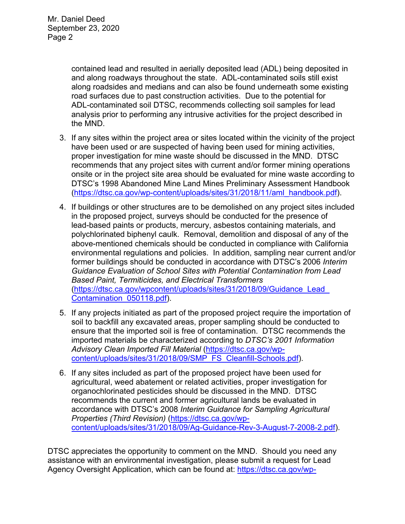contained lead and resulted in aerially deposited lead (ADL) being deposited in and along roadways throughout the state. ADL-contaminated soils still exist along roadsides and medians and can also be found underneath some existing road surfaces due to past construction activities. Due to the potential for ADL-contaminated soil DTSC, recommends collecting soil samples for lead analysis prior to performing any intrusive activities for the project described in the MND.

- 3. If any sites within the project area or sites located within the vicinity of the project have been used or are suspected of having been used for mining activities, proper investigation for mine waste should be discussed in the MND. DTSC recommends that any project sites with current and/or former mining operations onsite or in the project site area should be evaluated for mine waste according to DTSC's 1998 Abandoned Mine Land Mines Preliminary Assessment Handbook (https://dtsc.ca.gov/wp-content/uploads/sites/31/2018/11/aml\_handbook.pdf).
- 4. If buildings or other structures are to be demolished on any project sites included in the proposed project, surveys should be conducted for the presence of lead-based paints or products, mercury, asbestos containing materials, and polychlorinated biphenyl caulk. Removal, demolition and disposal of any of the above-mentioned chemicals should be conducted in compliance with California environmental regulations and policies. In addition, sampling near current and/or former buildings should be conducted in accordance with DTSC's 2006 *Interim Guidance Evaluation of School Sites with Potential Contamination from Lead Based Paint, Termiticides, and Electrical Transformers*  (https://dtsc.ca.gov/wpcontent/uploads/sites/31/2018/09/Guidance\_Lead\_ Contamination\_050118.pdf).
- 5. If any projects initiated as part of the proposed project require the importation of soil to backfill any excavated areas, proper sampling should be conducted to ensure that the imported soil is free of contamination. DTSC recommends the imported materials be characterized according to *DTSC's 2001 Information Advisory Clean Imported Fill Material* (https://dtsc.ca.gov/wpcontent/uploads/sites/31/2018/09/SMP\_FS\_Cleanfill-Schools.pdf).
- 6. If any sites included as part of the proposed project have been used for agricultural, weed abatement or related activities, proper investigation for organochlorinated pesticides should be discussed in the MND. DTSC recommends the current and former agricultural lands be evaluated in accordance with DTSC's 2008 *Interim Guidance for Sampling Agricultural Properties (Third Revision)* (https://dtsc.ca.gov/wpcontent/uploads/sites/31/2018/09/Ag-Guidance-Rev-3-August-7-2008-2.pdf).

DTSC appreciates the opportunity to comment on the MND. Should you need any assistance with an environmental investigation, please submit a request for Lead Agency Oversight Application, which can be found at: https://dtsc.ca.gov/wp